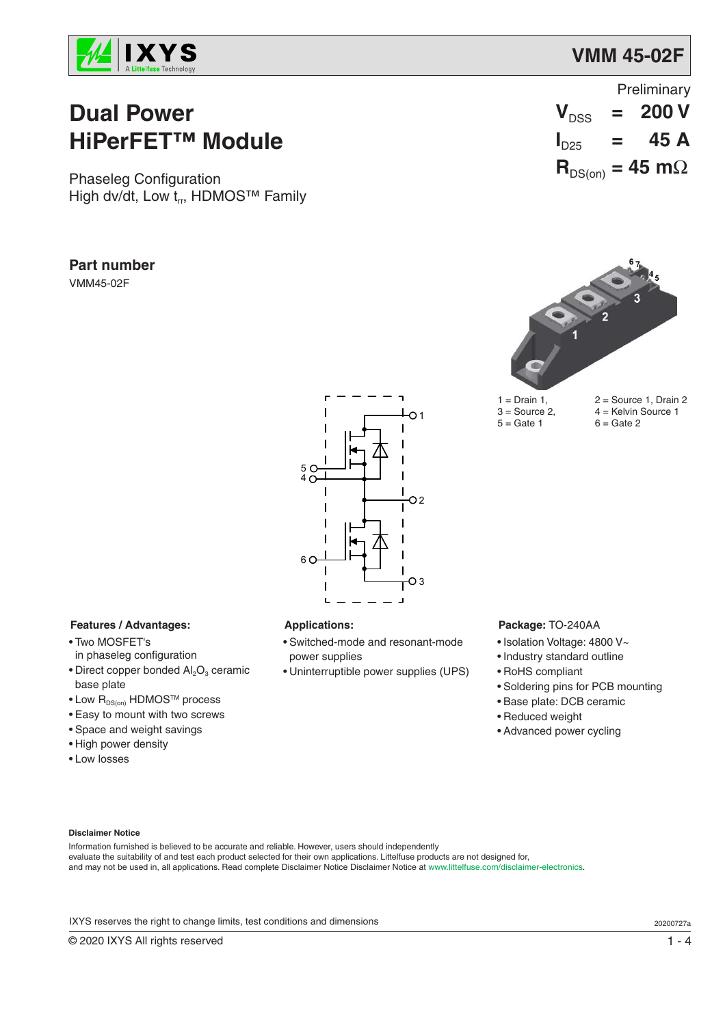

# **Dual Power HiPerFET™ Module**

Phaseleg Configuration High dv/dt, Low  $t_{rr}$ , HDMOS<sup>TM</sup> Family

### **Part number**

VMM45-02F

|                           | Preliminary |                                            |  |  |
|---------------------------|-------------|--------------------------------------------|--|--|
|                           |             | $V_{DSS}$ = 200 V                          |  |  |
| $\mathbf{I}_{\text{D25}}$ |             | $=$ 45 A                                   |  |  |
|                           |             | $\mathbf{R}_{DS(on)} = 45 \text{ m}\Omega$ |  |  |



 $5 =$  Gate 1

 $1 = Drain 1, 2 = Source 1, Drain 2$  $3 =$  Source 2,  $4 =$  Kelvin Source 1<br> $5 =$  Gate 1  $6 =$  Gate 2



### **Features / Advantages:**

- Two MOSFET's in phaseleg configuration
- $\bullet$  Direct copper bonded Al<sub>2</sub>O<sub>3</sub> ceramic base plate
- $\bullet$  Low  $R_{DS(on)}$  HDMOS<sup>TM</sup> process
- Easy to mount with two screws
- Space and weight savings
- High power density
- Low losses

### **Applications:**

- Switched-mode and resonant-mode power supplies
- Uninterruptible power supplies (UPS)

#### **Package:** TO-240AA

- Isolation Voltage: 4800 V~
- Industry standard outline
- RoHS compliant
- Soldering pins for PCB mounting
- Base plate: DCB ceramic
- Reduced weight
- Advanced power cycling

#### **Disclaimer Notice**

Information furnished is believed to be accurate and reliable. However, users should independently evaluate the suitability of and test each product selected for their own applications. Littelfuse products are not designed for, and may not be used in, all applications. Read complete Disclaimer Notice Disclaimer Notice at www.littelfuse.com/disclaimer-electronics.

IXYS reserves the right to change limits, test conditions and dimensions 20200727a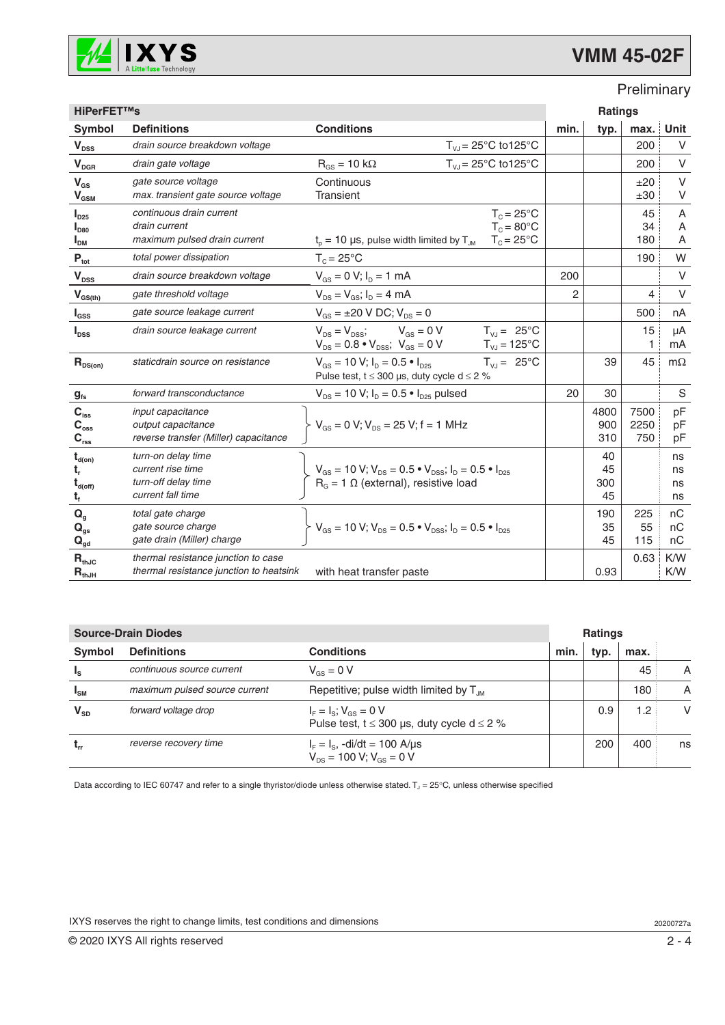

# **VMM 45-02F**

### Preliminary

| <b>HiPerFET™s</b>                                                 |                                                                                         | <b>Ratings</b>                                                                                                                         |      |                       |                     |                      |
|-------------------------------------------------------------------|-----------------------------------------------------------------------------------------|----------------------------------------------------------------------------------------------------------------------------------------|------|-----------------------|---------------------|----------------------|
| <b>Symbol</b>                                                     | <b>Definitions</b>                                                                      | <b>Conditions</b>                                                                                                                      | min. | typ.                  | max.                | Unit                 |
| $V_{DSS}$                                                         | drain source breakdown voltage                                                          | $T_{VJ}$ = 25°C to 125°C                                                                                                               |      |                       | 200                 | V                    |
| $\mathbf{V}_{\text{DGR}}$                                         | drain gate voltage                                                                      | $T_{VJ} = 25^{\circ}C$ to 125°C<br>$R_{GS} = 10 k\Omega$                                                                               |      |                       | 200                 | $\vee$               |
| $V_{GS}$<br>$\mathbf{V}_{\text{GSM}}$                             | gate source voltage<br>max. transient gate source voltage                               | Continuous<br>Transient                                                                                                                |      |                       | ±20<br>±30          | $\vee$<br>$\vee$     |
| $I_{D25}$<br>$I_{D80}$<br>I <sub>DM</sub>                         | continuous drain current<br>drain current<br>maximum pulsed drain current               | $T_c = 25^{\circ}C$<br>$T_c = 80^{\circ}$ C<br>$t_0$ = 10 µs, pulse width limited by $T_{JM}$<br>$T_c = 25^{\circ}$ C                  |      |                       | 45<br>34<br>180     | Α<br>A<br>A          |
| $P_{\text{tot}}$                                                  | total power dissipation                                                                 | $T_c = 25^{\circ}$ C                                                                                                                   |      |                       | 190                 | W                    |
| $\mathbf{V}_{\texttt{DSS}}$                                       | drain source breakdown voltage                                                          | $V_{GS} = 0 V$ ; $I_D = 1 mA$                                                                                                          | 200  |                       |                     | $\vee$               |
| $V_{GS(th)}$                                                      | gate threshold voltage                                                                  | $V_{DS} = V_{GS}$ ; $I_D = 4$ mA                                                                                                       | 2    |                       | 4                   | $\vee$               |
| $I_{GSS}$                                                         | gate source leakage current                                                             | $V_{GS} = \pm 20 \text{ V DC}; V_{DS} = 0$                                                                                             |      |                       | 500                 | nA                   |
| $I_{DSS}$                                                         | drain source leakage current                                                            | $V_{DS} = V_{DSS}$ ; $V_{GS} = 0 V$<br>$T_{V,J} = 25^{\circ}C$<br>$V_{DS} = 0.8 \cdot V_{DSS}$ ; $V_{GS} = 0 V$<br>$T_{VJ} = 125$ °C   |      |                       | 15<br>1             | μA<br>mA             |
| $R_{DS(on)}$                                                      | staticdrain source on resistance                                                        | $T_{V,J} = 25^{\circ}C$<br>$V_{GS}$ = 10 V; $I_D$ = 0.5 $\bullet$ $I_{D25}$<br>Pulse test, $t \le 300$ µs, duty cycle d $\le 2$ %      |      | 39                    | 45                  | $m\Omega$            |
| g <sub>fs</sub>                                                   | forward transconductance                                                                | $V_{DS}$ = 10 V; $I_D$ = 0.5 $\bullet$ $I_{D25}$ pulsed                                                                                | 20   | 30                    |                     | S                    |
| $C_{\text{iss}}$<br>$C_{\rm oss}$<br>$C_{\rm rss}$                | <i>input capacitance</i><br>output capacitance<br>reverse transfer (Miller) capacitance | $V_{GS} = 0 V$ ; $V_{DS} = 25 V$ ; f = 1 MHz                                                                                           |      | 4800<br>900<br>310    | 7500<br>2250<br>750 | pF<br>pF<br>рF       |
| $t_{d(on)}$<br>t,<br>$t_{\text{d(off)}}$<br>t,                    | turn-on delay time<br>current rise time<br>turn-off delay time<br>current fall time     | $V_{GS}$ = 10 V; $V_{DS}$ = 0.5 $\cdot$ V <sub>DSS</sub> ; $I_D$ = 0.5 $\cdot$ $I_{D25}$<br>$RG = 1 \Omega$ (external), resistive load |      | 40<br>45<br>300<br>45 |                     | ns<br>ns<br>ns<br>ns |
| $\mathbf{Q}_{g}$<br>$\mathbf{Q}_{gs}$<br>$\mathbf{Q}_{\text{gd}}$ | total gate charge<br>gate source charge<br>gate drain (Miller) charge                   | $V_{GS}$ = 10 V; $V_{DS}$ = 0.5 $\bullet$ V <sub>DSS</sub> ; $I_D$ = 0.5 $\bullet$ $I_{D25}$                                           |      | 190<br>35<br>45       | 225<br>55<br>115    | пC<br>nC<br>nC       |
| $R_{thJC}$<br>$\textbf{R}_{\text{thJH}}$                          | thermal resistance junction to case<br>thermal resistance junction to heatsink          | with heat transfer paste                                                                                                               |      | 0.93                  | 0.63                | K/W<br>K/W           |

| <b>Source-Drain Diodes</b> |                               |                                                                                    |      | <b>Ratings</b> |      |                |  |
|----------------------------|-------------------------------|------------------------------------------------------------------------------------|------|----------------|------|----------------|--|
| Symbol                     | <b>Definitions</b>            | <b>Conditions</b>                                                                  | min. | typ.           | max. |                |  |
| ı,                         | continuous source current     | $V_{cs} = 0 V$                                                                     |      |                | 45   | A              |  |
| $I_{\text{SM}}$            | maximum pulsed source current | Repetitive; pulse width limited by $T_{\text{IM}}$                                 |      |                | 180  | $\overline{A}$ |  |
| $V_{SD}$                   | forward voltage drop          | $I_F = I_S$ ; $V_{GS} = 0$ V<br>Pulse test, $t \le 300$ µs, duty cycle d $\le 2$ % |      | 0.9            | 1.2  | V              |  |
|                            | reverse recovery time         | $I_F = I_S$ , -di/dt = 100 A/µs<br>$V_{DS}$ = 100 V; $V_{GS}$ = 0 V                |      | 200            | 400  | ns             |  |

Data according to IEC 60747 and refer to a single thyristor/diode unless otherwise stated. T<sub>J</sub> = 25°C, unless otherwise specified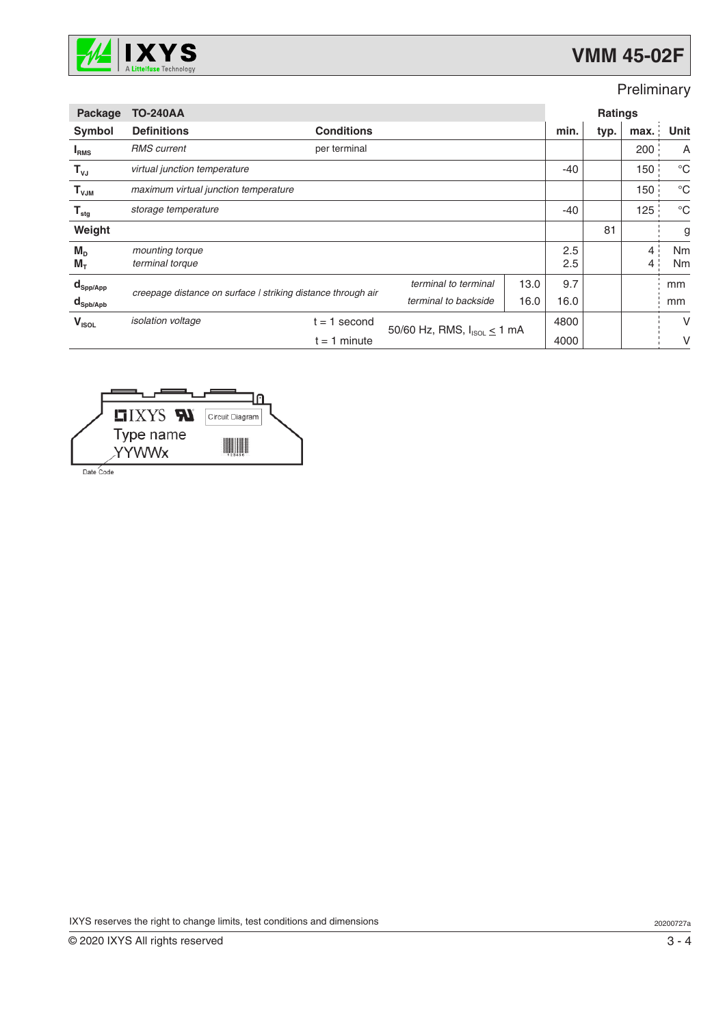

# **VMM 45-02F**

## Preliminary

| <b>Package</b>                  | <b>TO-240AA</b>                                              |                   |                                    |       | <b>Ratings</b> |      |                                  |               |
|---------------------------------|--------------------------------------------------------------|-------------------|------------------------------------|-------|----------------|------|----------------------------------|---------------|
| Symbol                          | <b>Definitions</b>                                           | <b>Conditions</b> |                                    |       | min.           | typ. | max.                             | Unit          |
| I <sub>RMS</sub>                | <b>RMS</b> current                                           | per terminal      |                                    |       |                |      | 200                              | A             |
| $T_{\nu J}$                     | virtual junction temperature                                 |                   |                                    |       | $-40$          |      | 150                              | $^{\circ}C$   |
| $T_{VJM}$                       | maximum virtual junction temperature                         |                   |                                    |       |                | 150  | $^{\circ}C$                      |               |
| $\mathsf{T}_{\text{stg}}$       | storage temperature                                          |                   |                                    | $-40$ |                | 125  | $^{\circ}C$                      |               |
| Weight                          |                                                              |                   |                                    |       |                | 81   |                                  | g             |
| $M_{\rm{D}}$<br>$M_T$           | mounting torque<br>terminal torque                           |                   |                                    |       | 2.5<br>2.5     |      | $\overline{4}$<br>$\overline{4}$ | Nm<br>Nm      |
| $\mathbf{d}_{\mathsf{Spp/App}}$ |                                                              |                   | terminal to terminal               | 13.0  | 9.7            |      |                                  | mm            |
| $\mathbf{d}_{\mathsf{Spb/Apb}}$ | creepage distance on surface I striking distance through air |                   | terminal to backside               | 16.0  | 16.0           |      |                                  | <sub>mm</sub> |
| $V_{ISOL}$                      | <i>isolation</i> voltage                                     | $t = 1$ second    | 50/60 Hz, RMS, $I_{ISOL} \le 1$ mA |       | 4800           |      |                                  | V             |
|                                 |                                                              | $t = 1$ minute    |                                    |       | 4000           |      |                                  | V             |



IXYS reserves the right to change limits, test conditions and dimensions 20200727a